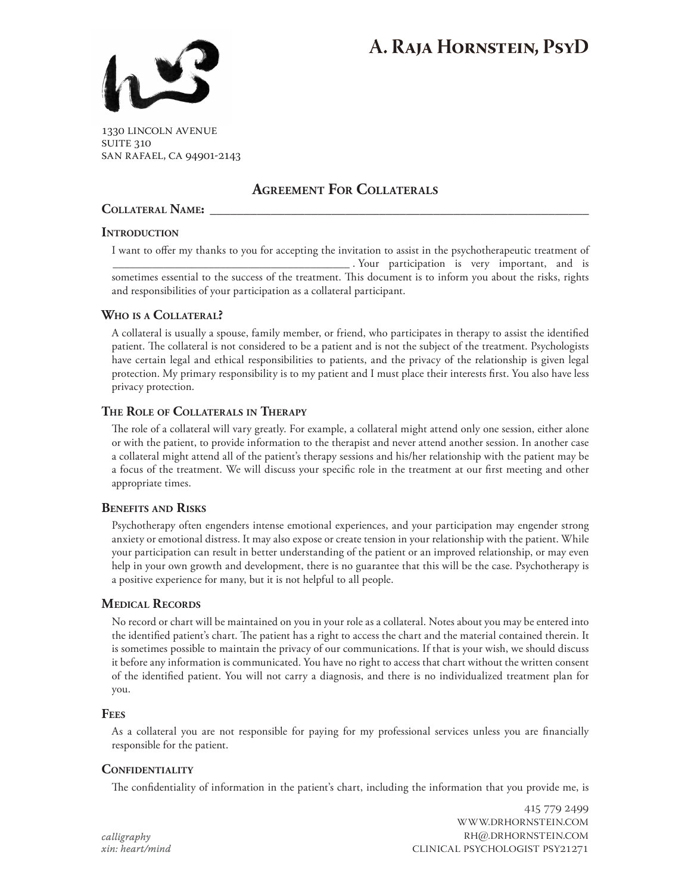# **A. Raja Hornstein, PsyD**



1330 lincoln avenue **SUITE 310** san rafael, ca 94901-2143

# **Agreement For Collaterals**

#### COLLATERAL NAME:

#### **Introduction**

I want to offer my thanks to you for accepting the invitation to assist in the psychotherapeutic treatment of \_\_\_\_\_\_\_\_\_\_\_\_\_\_\_\_\_\_\_\_\_\_\_\_\_\_\_\_\_\_\_\_\_\_\_\_\_\_\_\_\_\_ . Your participation is very important, and is sometimes essential to the success of the treatment. This document is to inform you about the risks, rights and responsibilities of your participation as a collateral participant.

## **Who is a Collateral?**

A collateral is usually a spouse, family member, or friend, who participates in therapy to assist the identified patient. The collateral is not considered to be a patient and is not the subject of the treatment. Psychologists have certain legal and ethical responsibilities to patients, and the privacy of the relationship is given legal protection. My primary responsibility is to my patient and I must place their interests first. You also have less privacy protection.

## **The Role of Collaterals in Therapy**

The role of a collateral will vary greatly. For example, a collateral might attend only one session, either alone or with the patient, to provide information to the therapist and never attend another session. In another case a collateral might attend all of the patient's therapy sessions and his/her relationship with the patient may be a focus of the treatment. We will discuss your specific role in the treatment at our first meeting and other appropriate times.

## **Benefits and Risks**

Psychotherapy often engenders intense emotional experiences, and your participation may engender strong anxiety or emotional distress. It may also expose or create tension in your relationship with the patient. While your participation can result in better understanding of the patient or an improved relationship, or may even help in your own growth and development, there is no guarantee that this will be the case. Psychotherapy is a positive experience for many, but it is not helpful to all people.

## **Medical Records**

No record or chart will be maintained on you in your role as a collateral. Notes about you may be entered into the identified patient's chart. The patient has a right to access the chart and the material contained therein. It is sometimes possible to maintain the privacy of our communications. If that is your wish, we should discuss it before any information is communicated. You have no right to access that chart without the written consent of the identified patient. You will not carry a diagnosis, and there is no individualized treatment plan for you.

#### **Fees**

As a collateral you are not responsible for paying for my professional services unless you are financially responsible for the patient.

## **Confidentiality**

The confidentiality of information in the patient's chart, including the information that you provide me, is

*calligraphy xin: heart/mind*

415 779 2499 www.drhornstein.com rh@.drhornstein.com clinical psychologist psy21271